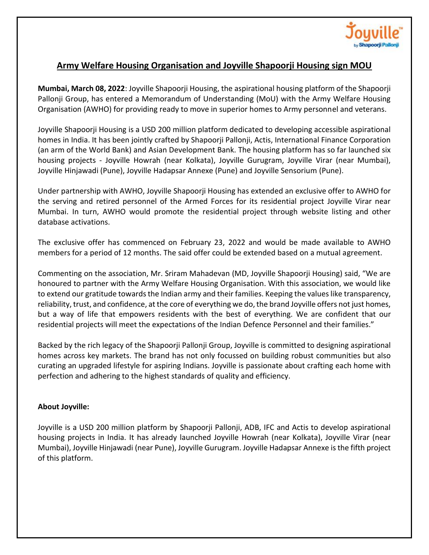

## **Army Welfare Housing Organisation and Joyville Shapoorji Housing sign MOU**

**Mumbai, March 08, 2022**: Joyville Shapoorji Housing, the aspirational housing platform of the Shapoorji Pallonji Group, has entered a Memorandum of Understanding (MoU) with the Army Welfare Housing Organisation (AWHO) for providing ready to move in superior homes to Army personnel and veterans.

Joyville Shapoorji Housing is a USD 200 million platform dedicated to developing accessible aspirational homes in India. It has been jointly crafted by Shapoorji Pallonji, Actis, International Finance Corporation (an arm of the World Bank) and Asian Development Bank. The housing platform has so far launched six housing projects - Joyville Howrah (near Kolkata), Joyville Gurugram, Joyville Virar (near Mumbai), Joyville Hinjawadi (Pune), Joyville Hadapsar Annexe (Pune) and Joyville Sensorium (Pune).

Under partnership with AWHO, Joyville Shapoorji Housing has extended an exclusive offer to AWHO for the serving and retired personnel of the Armed Forces for its residential project Joyville Virar near Mumbai. In turn, AWHO would promote the residential project through website listing and other database activations.

The exclusive offer has commenced on February 23, 2022 and would be made available to AWHO members for a period of 12 months. The said offer could be extended based on a mutual agreement.

Commenting on the association, Mr. Sriram Mahadevan (MD, Joyville Shapoorji Housing) said, "We are honoured to partner with the Army Welfare Housing Organisation. With this association, we would like to extend our gratitude towards the Indian army and their families. Keeping the values like transparency, reliability, trust, and confidence, at the core of everything we do, the brand Joyville offers not just homes, but a way of life that empowers residents with the best of everything. We are confident that our residential projects will meet the expectations of the Indian Defence Personnel and their families."

Backed by the rich legacy of the Shapoorji Pallonji Group, Joyville is committed to designing aspirational homes across key markets. The brand has not only focussed on building robust communities but also curating an upgraded lifestyle for aspiring Indians. Joyville is passionate about crafting each home with perfection and adhering to the highest standards of quality and efficiency.

## **About Joyville:**

Joyville is a USD 200 million platform by Shapoorji Pallonji, ADB, IFC and Actis to develop aspirational housing projects in India. It has already launched Joyville Howrah (near Kolkata), Joyville Virar (near Mumbai), Joyville Hinjawadi (near Pune), Joyville Gurugram. Joyville Hadapsar Annexe is the fifth project of this platform.